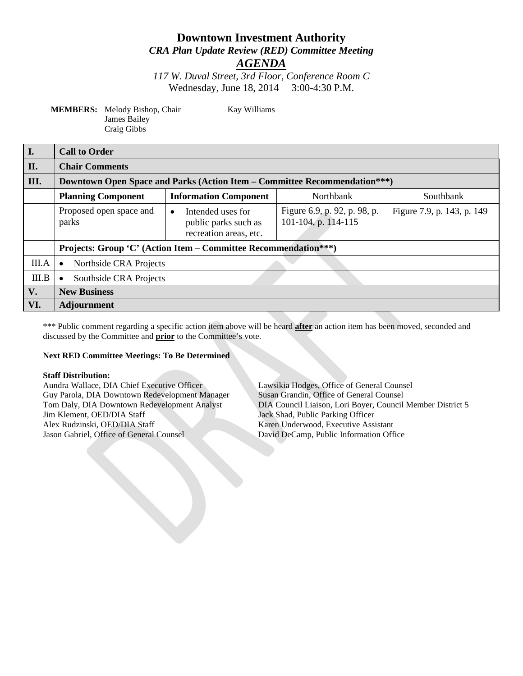# **Downtown Investment Authority** *CRA Plan Update Review (RED) Committee Meeting*

*AGENDA*

*117 W. Duval Street, 3rd Floor, Conference Room C* Wednesday, June 18, 2014 3:00-4:30 P.M.

**MEMBERS:** Melody Bishop, Chair Kay Williams James Bailey Craig Gibbs

| I.    | <b>Call to Order</b>                                                             |                                                                                  |                                                     |                            |
|-------|----------------------------------------------------------------------------------|----------------------------------------------------------------------------------|-----------------------------------------------------|----------------------------|
| П.    | <b>Chair Comments</b>                                                            |                                                                                  |                                                     |                            |
| III.  | <b>Downtown Open Space and Parks (Action Item – Committee Recommendation***)</b> |                                                                                  |                                                     |                            |
|       | <b>Planning Component</b>                                                        | <b>Information Component</b>                                                     | Northbank                                           | Southbank                  |
|       | Proposed open space and<br>parks                                                 | Intended uses for<br>$\bullet$<br>public parks such as<br>recreation areas, etc. | Figure 6.9, p. 92, p. 98, p.<br>101-104, p. 114-115 | Figure 7.9, p. 143, p. 149 |
|       | Projects: Group 'C' (Action Item – Committee Recommendation***)                  |                                                                                  |                                                     |                            |
| III.A | Northside CRA Projects<br>$\bullet$                                              |                                                                                  |                                                     |                            |
| III.B | Southside CRA Projects<br>$\bullet$                                              |                                                                                  |                                                     |                            |
| V.    | <b>New Business</b>                                                              |                                                                                  |                                                     |                            |
| VI.   | <b>Adjournment</b>                                                               |                                                                                  |                                                     |                            |

\*\*\* Public comment regarding a specific action item above will be heard **after** an action item has been moved, seconded and discussed by the Committee and **prior** to the Committee's vote.

#### **Next RED Committee Meetings: To Be Determined**

**Staff Distribution:** Guy Parola, DIA Downtown Redevelopment Manager Jim Klement, OED/DIA Staff Jack Shad, Public Parking Officer Alex Rudzinski, OED/DIA Staff Karen Underwood, Executive Assistant Jason Gabriel, Office of General Counsel David DeCamp, Public Information Office

Lawsikia Hodges, Office of General Counsel<br>Susan Grandin, Office of General Counsel Tom Daly, DIA Downtown Redevelopment Analyst DIA Council Liaison, Lori Boyer, Council Member District 5